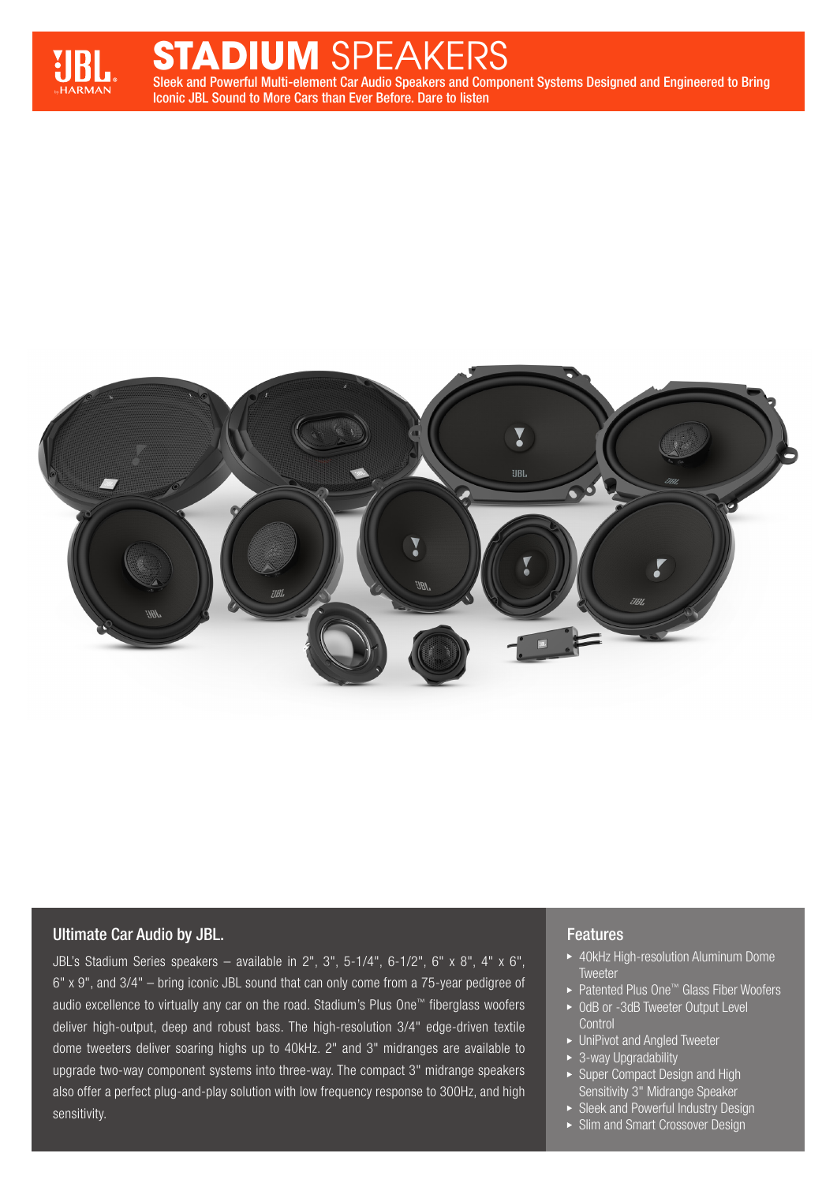

# Sleek and Powerful Multi-element Car Audio Speakers and Component Systems Designed and Engineered to Bring **TUM** SPEAKE

Iconic JBL Sound to More Cars than Ever Before. Dare to listen



### Ultimate Car Audio by JBL.

JBL's Stadium Series speakers – available in 2", 3", 5-1/4", 6-1/2", 6" x 8", 4" x 6", 6" x 9", and 3/4" – bring iconic JBL sound that can only come from a 75-year pedigree of audio excellence to virtually any car on the road. Stadium's Plus One™ fiberglass woofers deliver high-output, deep and robust bass. The high-resolution 3/4" edge-driven textile dome tweeters deliver soaring highs up to 40kHz. 2" and 3" midranges are available to upgrade two-way component systems into three-way. The compact 3" midrange speakers also offer a perfect plug-and-play solution with low frequency response to 300Hz, and high sensitivity.

#### **Features**

- ▶ 40kHz High-resolution Aluminum Dome **Tweeter**
- ▶ Patented Plus One<sup>™</sup> Glass Fiber Woofers
- ▶ 0dB or -3dB Tweeter Output Level **Control**
- ▶ UniPivot and Angled Tweeter
- ▶ 3-way Upgradability
- ▶ Super Compact Design and High Sensitivity 3" Midrange Speaker
- **>** Sleek and Powerful Industry Design
- Slim and Smart Crossover Design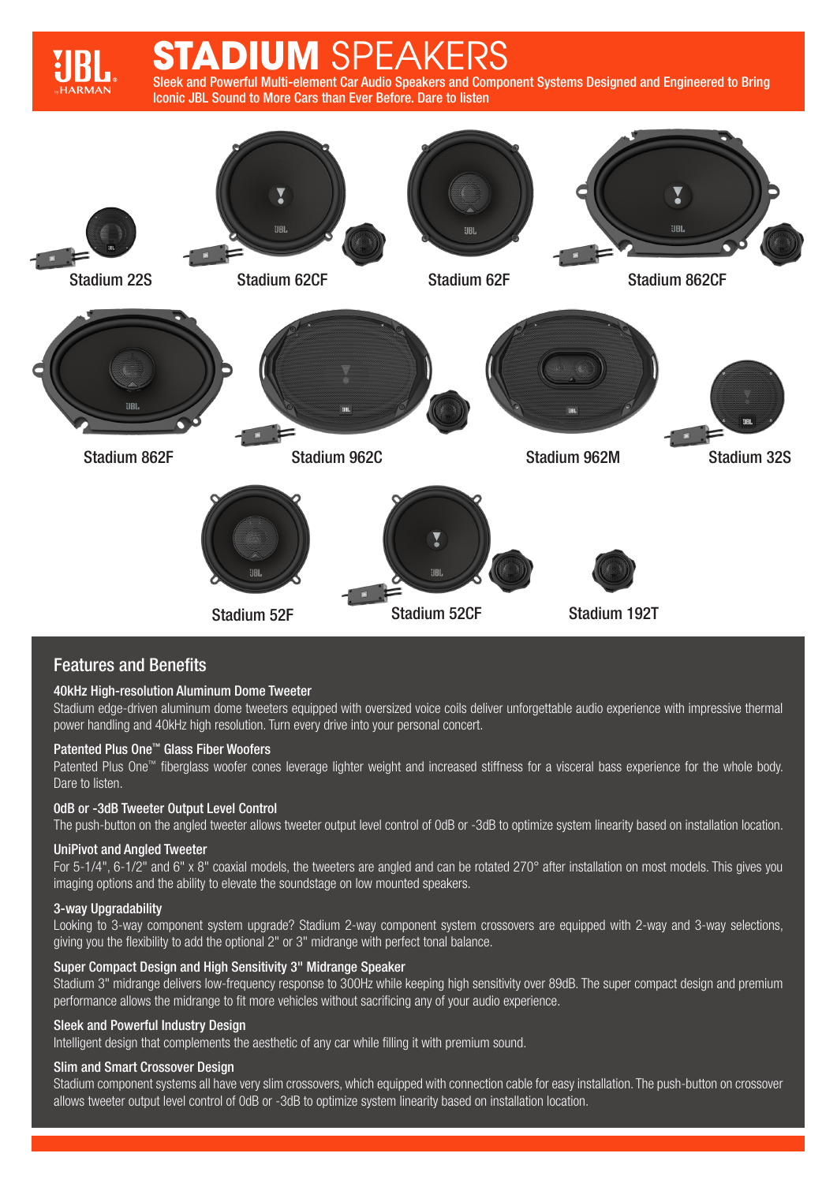# Sleek and Powerful Multi-element Car Audio Speakers and Component Systems Designed and Engineered to Bring Iconic JBL Sound to More Cars than Ever Before. Dare to listen **SPEAKERS**



# Features and Benefits

#### 40kHz High-resolution Aluminum Dome Tweeter

Stadium edge-driven aluminum dome tweeters equipped with oversized voice coils deliver unforgettable audio experience with impressive thermal power handling and 40kHz high resolution. Turn every drive into your personal concert.

#### Patented Plus One™ Glass Fiber Woofers

Patented Plus One™ fiberglass woofer cones leverage lighter weight and increased stiffness for a visceral bass experience for the whole body. Dare to listen.

#### 0dB or -3dB Tweeter Output Level Control

The push-button on the angled tweeter allows tweeter output level control of 0dB or -3dB to optimize system linearity based on installation location.

#### UniPivot and Angled Tweeter

For 5-1/4", 6-1/2" and 6" x 8" coaxial models, the tweeters are angled and can be rotated 270° after installation on most models. This gives you imaging options and the ability to elevate the soundstage on low mounted speakers.

#### 3-way Upgradability

Looking to 3-way component system upgrade? Stadium 2-way component system crossovers are equipped with 2-way and 3-way selections, giving you the flexibility to add the optional 2" or 3" midrange with perfect tonal balance.

#### Super Compact Design and High Sensitivity 3" Midrange Speaker

Stadium 3" midrange delivers low-frequency response to 300Hz while keeping high sensitivity over 89dB. The super compact design and premium performance allows the midrange to fit more vehicles without sacrificing any of your audio experience.

#### Sleek and Powerful Industry Design

Intelligent design that complements the aesthetic of any car while filling it with premium sound.

#### Slim and Smart Crossover Design

Stadium component systems all have very slim crossovers, which equipped with connection cable for easy installation. The push-button on crossover allows tweeter output level control of 0dB or -3dB to optimize system linearity based on installation location.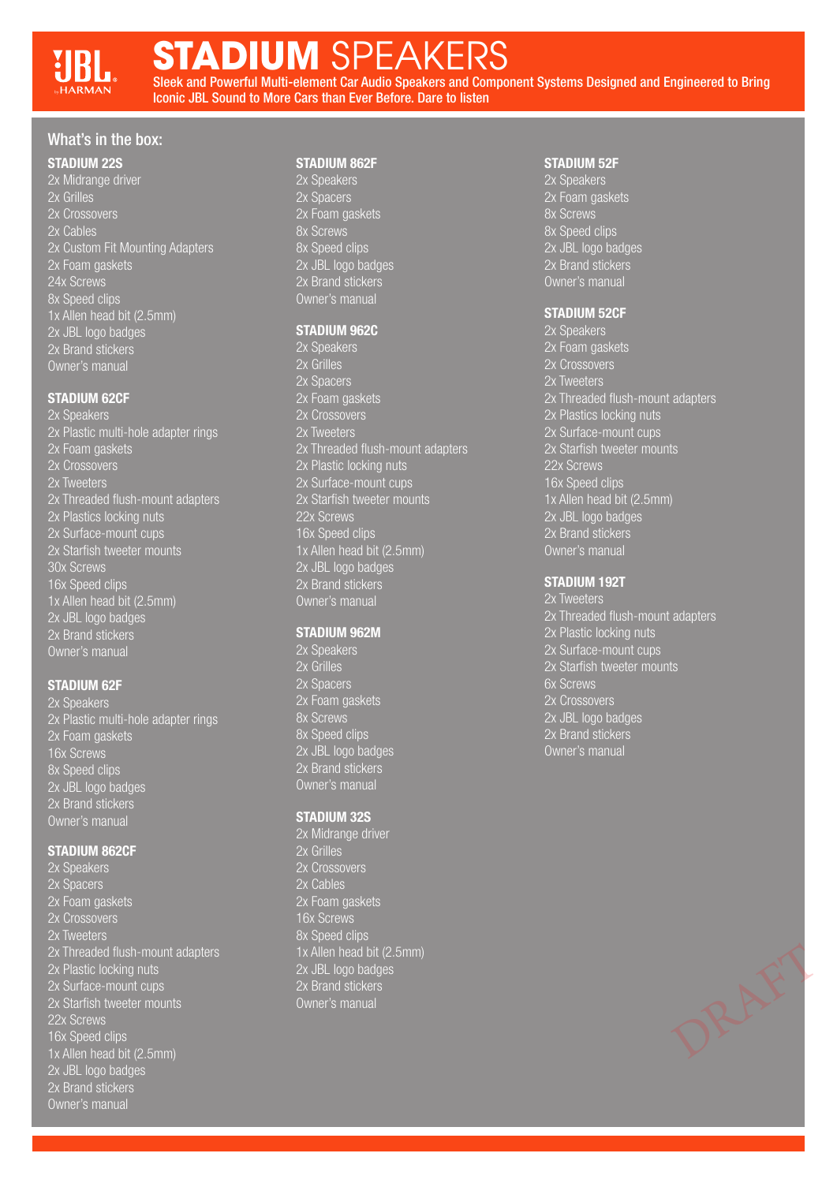# **STADIUM** SPEAKERS

Sleek and Powerful Multi-element Car Audio Speakers and Component Systems Designed and Engineered to Bring Iconic JBL Sound to More Cars than Ever Before. Dare to listen

## What's in the box:

#### STADIUM 22S

2x Midrange driver 2x Grilles 2x Crossovers 2x Cables 2x Custom Fit Mounting Adapters 2x Foam gaskets 24x Screws 8x Speed clips 1x Allen head bit (2.5mm) 2x JBL logo badges 2x Brand stickers Owner's manual

#### STADIUM 62CF

2x Speakers 2x Plastic multi-hole adapter rings 2x Foam gaskets 2x Crossovers 2x Threaded flush-mount adapters 2x Plastics locking nuts 2x Surface-mount cups 2x Starfish tweeter mounts 30x Screws 16x Speed clips 1x Allen head bit (2.5mm) 2x JBL logo badges 2x Brand stickers Owner's manual

#### STADIUM 62F

2x Speakers 2x Plastic multi-hole adapter rings 2x Foam gaskets 16x Screws 8x Speed clips 2x JBL logo badges 2x Brand stickers Owner's manual

#### STADIUM 862CF

2x Speakers 2x Spacers 2x Foam gaskets 2x Crossovers 2x Tweeters 2x Threaded flush-mount adapters 2x Plastic locking nuts 2x Surface-mount cups 2x Starfish tweeter mounts 22x Screws 16x Speed clips 1x Allen head bit (2.5mm) 2x JBL logo badges 2x Brand stickers Owner's manual

#### STADIUM 862F

2x Speakers 2x Spacers 2x Foam gaskets 8x Screws 8x Speed clips 2x JBL logo badges 2x Brand stickers Owner's manual

#### STADIUM 962C

2x Speakers 2x Grilles 2x Spacers 2x Foam gaskets 2x Crossovers 2x Threaded flush-mount adapters 2x Plastic locking nuts 2x Surface-mount cups 2x Starfish tweeter mounts 22x Screws 16x Speed clips 1x Allen head bit (2.5mm) 2x JBL logo badges 2x Brand stickers Owner's manual

#### STADIUM 962M

2x Speakers 2x Grilles 2x Spacers 2x Foam gaskets 8x Screws 8x Speed clips 2x JBL logo badges 2x Brand stickers Owner's manual

#### STADIUM 32S

2x Midrange driver 2x Grilles 2x Crossovers 2x Cables 2x Foam gaskets 16x Screws 8x Speed clips 1x Allen head bit (2.5mm) 2x JBL logo badges 2x Brand stickers Owner's manual

#### STADIUM 52F

2x Speakers 2x Foam gaskets 8x Screws 8x Speed clips 2x JBL logo badges 2x Brand stickers Owner's manual

#### STADIUM 52CF

2x Speakers 2x Foam gaskets 2x Crossovers 2x Tweeters 2x Threaded flush-mount adapters 2x Plastics locking nuts 2x Surface-mount cups 2x Starfish tweeter mounts 22x Screws 16x Speed clips 1x Allen head bit (2.5mm) 2x JBL logo badges 2x Brand stickers Owner's manual

#### STADIUM 192T

2x Threaded flush-mount adapters 2x Plastic locking nuts 2x Surface-mount cups 2x Starfish tweeter mounts 6x Screws 2x Crossovers 2x JBL logo badges 2x Brand stickers Owner's manual